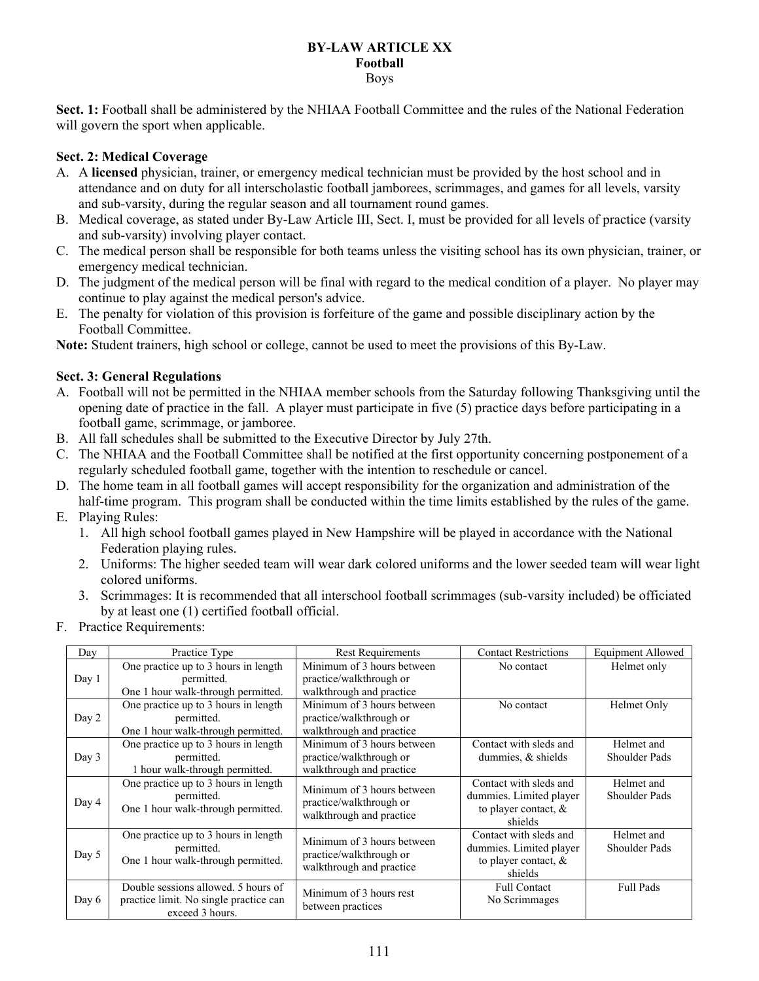#### **BY-LAW ARTICLE XX Football**  Boys

**Sect. 1:** Football shall be administered by the NHIAA Football Committee and the rules of the National Federation will govern the sport when applicable.

# **Sect. 2: Medical Coverage**

- A. A **licensed** physician, trainer, or emergency medical technician must be provided by the host school and in attendance and on duty for all interscholastic football jamborees, scrimmages, and games for all levels, varsity and sub-varsity, during the regular season and all tournament round games.
- B. Medical coverage, as stated under By-Law Article III, Sect. I, must be provided for all levels of practice (varsity and sub-varsity) involving player contact.
- C. The medical person shall be responsible for both teams unless the visiting school has its own physician, trainer, or emergency medical technician.
- D. The judgment of the medical person will be final with regard to the medical condition of a player. No player may continue to play against the medical person's advice.
- E. The penalty for violation of this provision is forfeiture of the game and possible disciplinary action by the Football Committee.

**Note:** Student trainers, high school or college, cannot be used to meet the provisions of this By-Law.

# **Sect. 3: General Regulations**

- A. Football will not be permitted in the NHIAA member schools from the Saturday following Thanksgiving until the opening date of practice in the fall. A player must participate in five (5) practice days before participating in a football game, scrimmage, or jamboree.
- B. All fall schedules shall be submitted to the Executive Director by July 27th.
- C. The NHIAA and the Football Committee shall be notified at the first opportunity concerning postponement of a regularly scheduled football game, together with the intention to reschedule or cancel.
- D. The home team in all football games will accept responsibility for the organization and administration of the half-time program. This program shall be conducted within the time limits established by the rules of the game.
- E. Playing Rules:
	- 1. All high school football games played in New Hampshire will be played in accordance with the National Federation playing rules.
	- 2. Uniforms: The higher seeded team will wear dark colored uniforms and the lower seeded team will wear light colored uniforms.
	- 3. Scrimmages: It is recommended that all interschool football scrimmages (sub-varsity included) be officiated by at least one (1) certified football official.
- F. Practice Requirements:

| Dav   | Practice Type                                                                                    | <b>Rest Requirements</b>                                                          | <b>Contact Restrictions</b>                                                             | Equipment Allowed           |
|-------|--------------------------------------------------------------------------------------------------|-----------------------------------------------------------------------------------|-----------------------------------------------------------------------------------------|-----------------------------|
| Day 1 | One practice up to 3 hours in length<br>permitted.<br>One 1 hour walk-through permitted.         | Minimum of 3 hours between<br>practice/walkthrough or<br>walkthrough and practice | No contact                                                                              | Helmet only                 |
| Day 2 | One practice up to 3 hours in length<br>permitted.<br>One 1 hour walk-through permitted.         | Minimum of 3 hours between<br>practice/walkthrough or<br>walkthrough and practice | No contact                                                                              | Helmet Only                 |
| Day 3 | One practice up to 3 hours in length<br>permitted.<br>1 hour walk-through permitted.             | Minimum of 3 hours between<br>practice/walkthrough or<br>walkthrough and practice | Contact with sleds and<br>dummies, & shields                                            | Helmet and<br>Shoulder Pads |
| Day 4 | One practice up to 3 hours in length<br>permitted.<br>One 1 hour walk-through permitted.         | Minimum of 3 hours between<br>practice/walkthrough or<br>walkthrough and practice | Contact with sleds and<br>dummies. Limited player<br>to player contact, $\&$<br>shields | Helmet and<br>Shoulder Pads |
| Day 5 | One practice up to 3 hours in length<br>permitted.<br>One 1 hour walk-through permitted.         | Minimum of 3 hours between<br>practice/walkthrough or<br>walkthrough and practice | Contact with sleds and<br>dummies. Limited player<br>to player contact, $\&$<br>shields | Helmet and<br>Shoulder Pads |
| Day 6 | Double sessions allowed. 5 hours of<br>practice limit. No single practice can<br>exceed 3 hours. | Minimum of 3 hours rest<br>between practices                                      | <b>Full Contact</b><br>No Scrimmages                                                    | <b>Full Pads</b>            |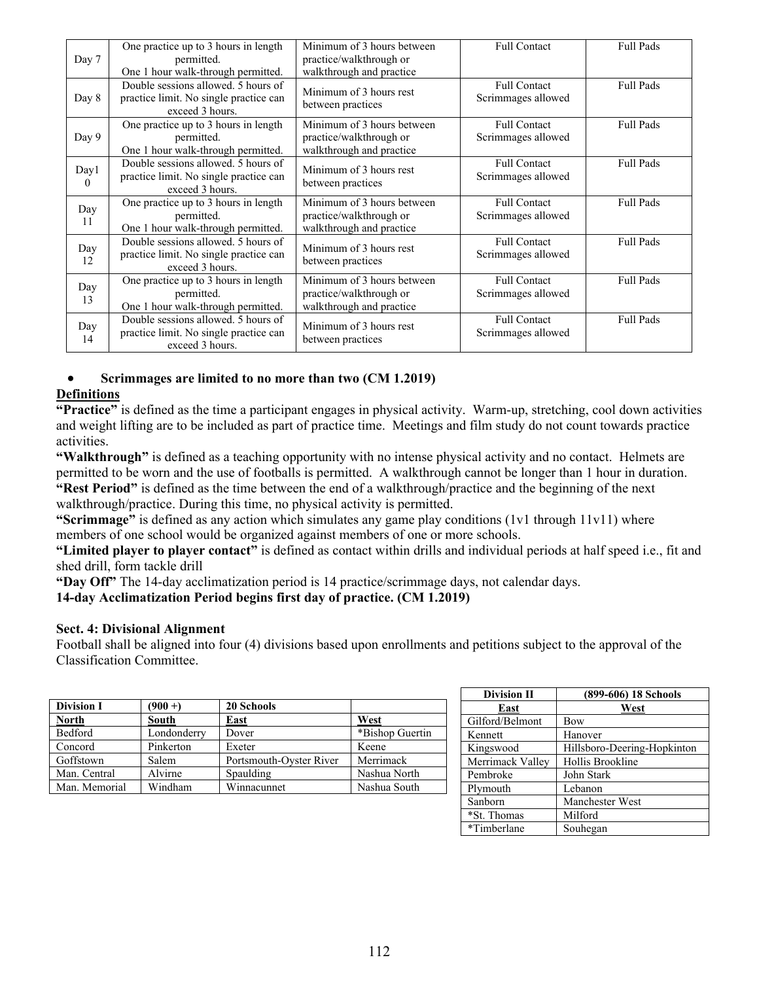| Day 7     | One practice up to 3 hours in length<br>permitted.<br>One 1 hour walk-through permitted.         | Minimum of 3 hours between<br>practice/walkthrough or<br>walkthrough and practice | Full Contact                              | <b>Full Pads</b> |
|-----------|--------------------------------------------------------------------------------------------------|-----------------------------------------------------------------------------------|-------------------------------------------|------------------|
| Day 8     | Double sessions allowed. 5 hours of<br>practice limit. No single practice can<br>exceed 3 hours. | Minimum of 3 hours rest<br>between practices                                      | <b>Full Contact</b><br>Scrimmages allowed | <b>Full Pads</b> |
| Day 9     | One practice up to 3 hours in length<br>permitted.<br>One 1 hour walk-through permitted.         | Minimum of 3 hours between<br>practice/walkthrough or<br>walkthrough and practice | <b>Full Contact</b><br>Scrimmages allowed | <b>Full Pads</b> |
| Day1      | Double sessions allowed. 5 hours of<br>practice limit. No single practice can<br>exceed 3 hours. | Minimum of 3 hours rest<br>between practices                                      | <b>Full Contact</b><br>Scrimmages allowed | <b>Full Pads</b> |
| Day<br>11 | One practice up to 3 hours in length<br>permitted.<br>One 1 hour walk-through permitted.         | Minimum of 3 hours between<br>practice/walkthrough or<br>walkthrough and practice | <b>Full Contact</b><br>Scrimmages allowed | <b>Full Pads</b> |
| Day<br>12 | Double sessions allowed. 5 hours of<br>practice limit. No single practice can<br>exceed 3 hours. | Minimum of 3 hours rest<br>between practices                                      | <b>Full Contact</b><br>Scrimmages allowed | <b>Full Pads</b> |
| Day<br>13 | One practice up to 3 hours in length<br>permitted.<br>One 1 hour walk-through permitted.         | Minimum of 3 hours between<br>practice/walkthrough or<br>walkthrough and practice | <b>Full Contact</b><br>Scrimmages allowed | <b>Full Pads</b> |
| Day<br>14 | Double sessions allowed. 5 hours of<br>practice limit. No single practice can<br>exceed 3 hours. | Minimum of 3 hours rest<br>between practices                                      | <b>Full Contact</b><br>Scrimmages allowed | <b>Full Pads</b> |

## **Scrimmages are limited to no more than two (CM 1.2019)**

## **Definitions**

**"Practice"** is defined as the time a participant engages in physical activity. Warm-up, stretching, cool down activities and weight lifting are to be included as part of practice time. Meetings and film study do not count towards practice activities.

**"Walkthrough"** is defined as a teaching opportunity with no intense physical activity and no contact. Helmets are permitted to be worn and the use of footballs is permitted. A walkthrough cannot be longer than 1 hour in duration. **"Rest Period"** is defined as the time between the end of a walkthrough/practice and the beginning of the next walkthrough/practice. During this time, no physical activity is permitted.

**"Scrimmage"** is defined as any action which simulates any game play conditions (1v1 through 11v11) where members of one school would be organized against members of one or more schools.

**"Limited player to player contact"** is defined as contact within drills and individual periods at half speed i.e., fit and shed drill, form tackle drill

**"Day Off"** The 14-day acclimatization period is 14 practice/scrimmage days, not calendar days.

**14-day Acclimatization Period begins first day of practice. (CM 1.2019)** 

### **Sect. 4: Divisional Alignment**

Football shall be aligned into four (4) divisions based upon enrollments and petitions subject to the approval of the Classification Committee.

| <b>Division I</b> | $(900 + )$  | 20 Schools              |                 |
|-------------------|-------------|-------------------------|-----------------|
| <b>North</b>      | South       | East                    | West            |
| Bedford           | Londonderry | Dover                   | *Bishop Guertin |
| Concord           | Pinkerton   | Exeter                  | Keene           |
| Goffstown         | Salem       | Portsmouth-Oyster River | Merrimack       |
| Man. Central      | Alvirne     | Spaulding               | Nashua North    |
| Man. Memorial     | Windham     | Winnacunnet             | Nashua South    |

| <b>Division II</b> | (899-606) 18 Schools        |
|--------------------|-----------------------------|
| East               | West                        |
| Gilford/Belmont    | Bow                         |
| Kennett            | Hanover                     |
| Kingswood          | Hillsboro-Deering-Hopkinton |
| Merrimack Valley   | Hollis Brookline            |
| Pembroke           | John Stark                  |
| Plymouth           | Lebanon                     |
| Sanborn            | Manchester West             |
| *St. Thomas        | Milford                     |
| *Timberlane        | Souhegan                    |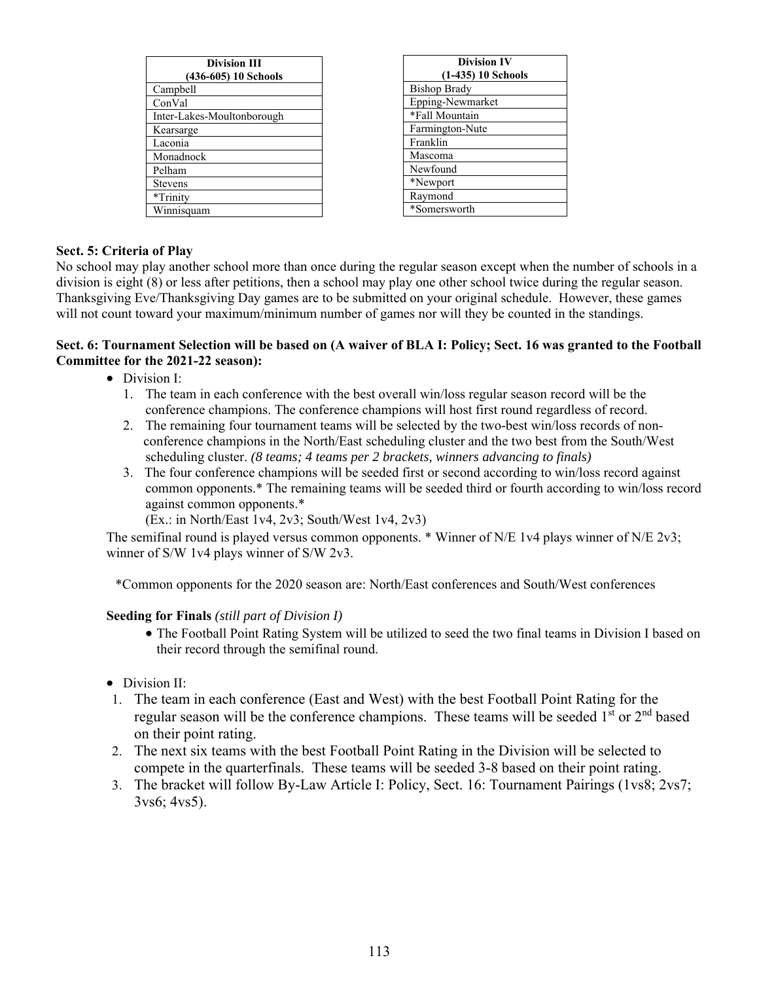| <b>Division III</b><br>(436-605) 10 Schools |  |  |
|---------------------------------------------|--|--|
| Campbell                                    |  |  |
| ConVal                                      |  |  |
| Inter-Lakes-Moultonborough                  |  |  |
| Kearsarge                                   |  |  |
| Laconia                                     |  |  |
| Monadnock                                   |  |  |
| Pelham                                      |  |  |
| <b>Stevens</b>                              |  |  |
| *Trinity                                    |  |  |
| Winnisquam                                  |  |  |

| <b>Division IV</b>   |  |  |
|----------------------|--|--|
| $(1-435)$ 10 Schools |  |  |
| <b>Bishop Brady</b>  |  |  |
| Epping-Newmarket     |  |  |
| *Fall Mountain       |  |  |
| Farmington-Nute      |  |  |
| Franklin             |  |  |
| Mascoma              |  |  |
| Newfound             |  |  |
| *Newport             |  |  |
| Raymond              |  |  |
| *Somersworth         |  |  |

## **Sect. 5: Criteria of Play**

No school may play another school more than once during the regular season except when the number of schools in a division is eight (8) or less after petitions, then a school may play one other school twice during the regular season. Thanksgiving Eve/Thanksgiving Day games are to be submitted on your original schedule. However, these games will not count toward your maximum/minimum number of games nor will they be counted in the standings.

### **Sect. 6: Tournament Selection will be based on (A waiver of BLA I: Policy; Sect. 16 was granted to the Football Committee for the 2021-22 season):**

- Division I:
	- 1. The team in each conference with the best overall win/loss regular season record will be the conference champions. The conference champions will host first round regardless of record.
	- 2. The remaining four tournament teams will be selected by the two-best win/loss records of non conference champions in the North/East scheduling cluster and the two best from the South/West scheduling cluster. *(8 teams; 4 teams per 2 brackets, winners advancing to finals)*
	- 3. The four conference champions will be seeded first or second according to win/loss record against common opponents.\* The remaining teams will be seeded third or fourth according to win/loss record against common opponents.\*

(Ex.: in North/East 1v4, 2v3; South/West 1v4, 2v3)

The semifinal round is played versus common opponents.  $*$  Winner of N/E 1v4 plays winner of N/E 2v3; winner of S/W 1v4 plays winner of S/W 2v3.

\*Common opponents for the 2020 season are: North/East conferences and South/West conferences

## **Seeding for Finals** *(still part of Division I)*

- The Football Point Rating System will be utilized to seed the two final teams in Division I based on their record through the semifinal round.
- Division II:
- 1. The team in each conference (East and West) with the best Football Point Rating for the regular season will be the conference champions. These teams will be seeded  $1^{st}$  or  $2^{nd}$  based on their point rating.
- 2. The next six teams with the best Football Point Rating in the Division will be selected to compete in the quarterfinals. These teams will be seeded 3-8 based on their point rating.
- 3. The bracket will follow By-Law Article I: Policy, Sect. 16: Tournament Pairings (1vs8; 2vs7; 3vs6; 4vs5).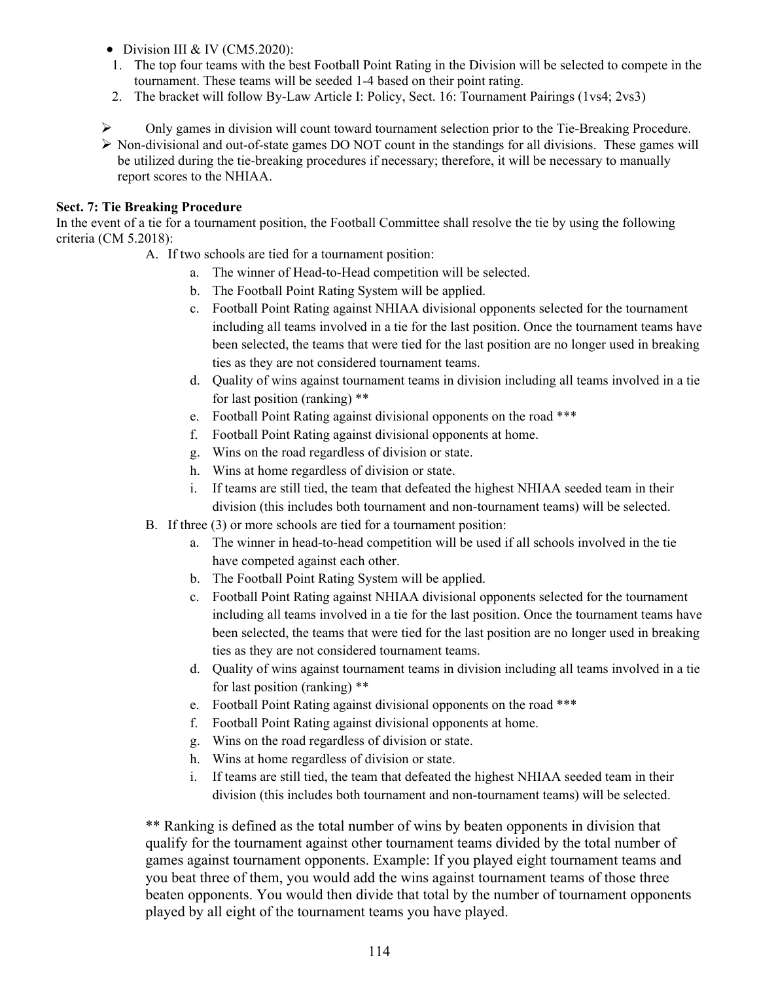- $\bullet$  Division III & IV (CM5.2020):
- 1. The top four teams with the best Football Point Rating in the Division will be selected to compete in the tournament. These teams will be seeded 1-4 based on their point rating.
- 2. The bracket will follow By-Law Article I: Policy, Sect. 16: Tournament Pairings (1vs4; 2vs3)
- Only games in division will count toward tournament selection prior to the Tie-Breaking Procedure.
- $\triangleright$  Non-divisional and out-of-state games DO NOT count in the standings for all divisions. These games will be utilized during the tie-breaking procedures if necessary; therefore, it will be necessary to manually report scores to the NHIAA.

### **Sect. 7: Tie Breaking Procedure**

In the event of a tie for a tournament position, the Football Committee shall resolve the tie by using the following criteria (CM 5.2018):

- A. If two schools are tied for a tournament position:
	- a. The winner of Head-to-Head competition will be selected.
	- b. The Football Point Rating System will be applied.
	- c. Football Point Rating against NHIAA divisional opponents selected for the tournament including all teams involved in a tie for the last position. Once the tournament teams have been selected, the teams that were tied for the last position are no longer used in breaking ties as they are not considered tournament teams.
	- d. Quality of wins against tournament teams in division including all teams involved in a tie for last position (ranking) \*\*
	- e. Football Point Rating against divisional opponents on the road \*\*\*
	- f. Football Point Rating against divisional opponents at home.
	- g. Wins on the road regardless of division or state.
	- h. Wins at home regardless of division or state.
	- i. If teams are still tied, the team that defeated the highest NHIAA seeded team in their division (this includes both tournament and non-tournament teams) will be selected.
- B. If three (3) or more schools are tied for a tournament position:
	- a. The winner in head-to-head competition will be used if all schools involved in the tie have competed against each other.
	- b. The Football Point Rating System will be applied.
	- c. Football Point Rating against NHIAA divisional opponents selected for the tournament including all teams involved in a tie for the last position. Once the tournament teams have been selected, the teams that were tied for the last position are no longer used in breaking ties as they are not considered tournament teams.
	- d. Quality of wins against tournament teams in division including all teams involved in a tie for last position (ranking) \*\*
	- e. Football Point Rating against divisional opponents on the road \*\*\*
	- f. Football Point Rating against divisional opponents at home.
	- g. Wins on the road regardless of division or state.
	- h. Wins at home regardless of division or state.
	- i. If teams are still tied, the team that defeated the highest NHIAA seeded team in their division (this includes both tournament and non-tournament teams) will be selected.

\*\* Ranking is defined as the total number of wins by beaten opponents in division that qualify for the tournament against other tournament teams divided by the total number of games against tournament opponents. Example: If you played eight tournament teams and you beat three of them, you would add the wins against tournament teams of those three beaten opponents. You would then divide that total by the number of tournament opponents played by all eight of the tournament teams you have played.